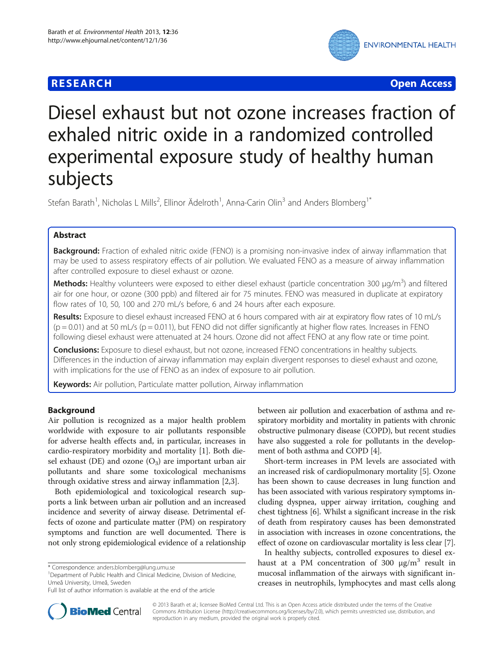# **RESEARCH CHE Open Access**



# Diesel exhaust but not ozone increases fraction of exhaled nitric oxide in a randomized controlled experimental exposure study of healthy human subjects

Stefan Barath<sup>1</sup>, Nicholas L Mills<sup>2</sup>, Ellinor Ädelroth<sup>1</sup>, Anna-Carin Olin<sup>3</sup> and Anders Blomberg<sup>1\*</sup>

# Abstract

Background: Fraction of exhaled nitric oxide (FENO) is a promising non-invasive index of airway inflammation that may be used to assess respiratory effects of air pollution. We evaluated FENO as a measure of airway inflammation after controlled exposure to diesel exhaust or ozone.

Methods: Healthy volunteers were exposed to either diesel exhaust (particle concentration 300 μg/m<sup>3</sup>) and filtered air for one hour, or ozone (300 ppb) and filtered air for 75 minutes. FENO was measured in duplicate at expiratory flow rates of 10, 50, 100 and 270 mL/s before, 6 and 24 hours after each exposure.

Results: Exposure to diesel exhaust increased FENO at 6 hours compared with air at expiratory flow rates of 10 mL/s  $(p = 0.01)$  and at 50 mL/s  $(p = 0.011)$ , but FENO did not differ significantly at higher flow rates. Increases in FENO following diesel exhaust were attenuated at 24 hours. Ozone did not affect FENO at any flow rate or time point.

**Conclusions:** Exposure to diesel exhaust, but not ozone, increased FENO concentrations in healthy subjects. Differences in the induction of airway inflammation may explain divergent responses to diesel exhaust and ozone, with implications for the use of FENO as an index of exposure to air pollution.

Keywords: Air pollution, Particulate matter pollution, Airway inflammation

# Background

Air pollution is recognized as a major health problem worldwide with exposure to air pollutants responsible for adverse health effects and, in particular, increases in cardio-respiratory morbidity and mortality [\[1](#page-5-0)]. Both diesel exhaust (DE) and ozone  $(O_3)$  are important urban air pollutants and share some toxicological mechanisms through oxidative stress and airway inflammation [[2](#page-5-0),[3\]](#page-5-0).

Both epidemiological and toxicological research supports a link between urban air pollution and an increased incidence and severity of airway disease. Detrimental effects of ozone and particulate matter (PM) on respiratory symptoms and function are well documented. There is not only strong epidemiological evidence of a relationship

<sup>1</sup>Department of Public Health and Clinical Medicine, Division of Medicine, Umeå University, Umeå, Sweden

between air pollution and exacerbation of asthma and respiratory morbidity and mortality in patients with chronic obstructive pulmonary disease (COPD), but recent studies have also suggested a role for pollutants in the development of both asthma and COPD [\[4](#page-5-0)].

Short-term increases in PM levels are associated with an increased risk of cardiopulmonary mortality [\[5](#page-5-0)]. Ozone has been shown to cause decreases in lung function and has been associated with various respiratory symptoms including dyspnea, upper airway irritation, coughing and chest tightness [[6](#page-5-0)]. Whilst a significant increase in the risk of death from respiratory causes has been demonstrated in association with increases in ozone concentrations, the effect of ozone on cardiovascular mortality is less clear [\[7](#page-5-0)].

In healthy subjects, controlled exposures to diesel exhaust at a PM concentration of 300  $\mu$ g/m<sup>3</sup> result in mucosal inflammation of the airways with significant increases in neutrophils, lymphocytes and mast cells along



© 2013 Barath et al.; licensee BioMed Central Ltd. This is an Open Access article distributed under the terms of the Creative Commons Attribution License [\(http://creativecommons.org/licenses/by/2.0\)](http://creativecommons.org/licenses/by/2.0), which permits unrestricted use, distribution, and reproduction in any medium, provided the original work is properly cited.

<sup>\*</sup> Correspondence: [anders.blomberg@lung.umu.se](mailto:anders.blomberg@lung.umu.se) <sup>1</sup>

Full list of author information is available at the end of the article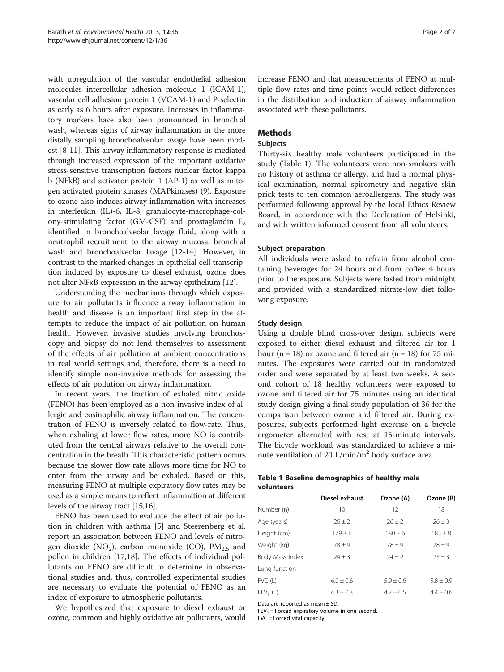<span id="page-1-0"></span>with upregulation of the vascular endothelial adhesion molecules intercellular adhesion molecule 1 (ICAM-1), vascular cell adhesion protein 1 (VCAM-1) and P-selectin as early as 6 hours after exposure. Increases in inflammatory markers have also been pronounced in bronchial wash, whereas signs of airway inflammation in the more distally sampling bronchoalveolar lavage have been modest [[8-11\]](#page-5-0). This airway inflammatory response is mediated through increased expression of the important oxidative stress-sensitive transcription factors nuclear factor kappa b (NFkB) and activator protein 1 (AP-1) as well as mitogen activated protein kinases (MAPkinases) (9). Exposure to ozone also induces airway inflammation with increases in interleukin (IL)-6, IL-8, granulocyte-macrophage-colony-stimulating factor (GM-CSF) and prostaglandin  $E<sub>2</sub>$ identified in bronchoalveolar lavage fluid, along with a neutrophil recruitment to the airway mucosa, bronchial wash and bronchoalveolar lavage [\[12-14\]](#page-5-0). However, in contrast to the marked changes in epithelial cell transcription induced by exposure to diesel exhaust, ozone does not alter NFκB expression in the airway epithelium [\[12\]](#page-5-0).

Understanding the mechanisms through which exposure to air pollutants influence airway inflammation in health and disease is an important first step in the attempts to reduce the impact of air pollution on human health. However, invasive studies involving bronchoscopy and biopsy do not lend themselves to assessment of the effects of air pollution at ambient concentrations in real world settings and, therefore, there is a need to identify simple non-invasive methods for assessing the effects of air pollution on airway inflammation.

In recent years, the fraction of exhaled nitric oxide (FENO) has been employed as a non-invasive index of allergic and eosinophilic airway inflammation. The concentration of FENO is inversely related to flow-rate. Thus, when exhaling at lower flow rates, more NO is contributed from the central airways relative to the overall concentration in the breath. This characteristic pattern occurs because the slower flow rate allows more time for NO to enter from the airway and be exhaled. Based on this, measuring FENO at multiple expiratory flow rates may be used as a simple means to reflect inflammation at different levels of the airway tract [\[15,16\]](#page-5-0).

FENO has been used to evaluate the effect of air pollution in children with asthma [[5\]](#page-5-0) and Steerenberg et al. report an association between FENO and levels of nitrogen dioxide (NO<sub>2</sub>), carbon monoxide (CO),  $PM_{2.5}$  and pollen in children [[17,18\]](#page-5-0). The effects of individual pollutants on FENO are difficult to determine in observational studies and, thus, controlled experimental studies are necessary to evaluate the potential of FENO as an index of exposure to atmospheric pollutants.

We hypothesized that exposure to diesel exhaust or ozone, common and highly oxidative air pollutants, would

increase FENO and that measurements of FENO at multiple flow rates and time points would reflect differences in the distribution and induction of airway inflammation associated with these pollutants.

# **Methods**

# Subjects

Thirty-six healthy male volunteers participated in the study (Table 1). The volunteers were non-smokers with no history of asthma or allergy, and had a normal physical examination, normal spirometry and negative skin prick tests to ten common aeroallergens. The study was performed following approval by the local Ethics Review Board, in accordance with the Declaration of Helsinki, and with written informed consent from all volunteers.

# Subject preparation

All individuals were asked to refrain from alcohol containing beverages for 24 hours and from coffee 4 hours prior to the exposure. Subjects were fasted from midnight and provided with a standardized nitrate-low diet following exposure.

# Study design

Using a double blind cross-over design, subjects were exposed to either diesel exhaust and filtered air for 1 hour (n = 18) or ozone and filtered air (n = 18) for 75 minutes. The exposures were carried out in randomized order and were separated by at least two weeks. A second cohort of 18 healthy volunteers were exposed to ozone and filtered air for 75 minutes using an identical study design giving a final study population of 36 for the comparison between ozone and filtered air. During exposures, subjects performed light exercise on a bicycle ergometer alternated with rest at 15-minute intervals. The bicycle workload was standardized to achieve a minute ventilation of 20 L/min/m2 body surface area.

# Table 1 Baseline demographics of healthy male volunteers

|                 | Diesel exhaust | Ozone (A)   | Ozone (B)   |
|-----------------|----------------|-------------|-------------|
| Number (n)      | 10             | 12          | 18          |
| Age (years)     | $26 \pm 2$     | $26 + 2$    | $26 \pm 3$  |
| Height (cm)     | $179 \pm 6$    | $180 \pm 6$ | $183 \pm 8$ |
| Weight (kg)     | $78 + 9$       | $78 + 9$    | $78 + 9$    |
| Body Mass Index | $24 \pm 3$     | $74 + 7$    | $23 \pm 3$  |
| Lung function   |                |             |             |
| FVC (L)         | $6.0 + 0.6$    | $5.9 + 0.6$ | $5.8 + 0.9$ |
| $FEV_1(L)$      | $4.3 \pm 0.3$  | $4.2 + 0.5$ | $4.4 + 0.6$ |

Data are reported as mean ± SD.

 $FEV_1 = Forced$  expiratory volume in one second.

FVC = Forced vital capacity.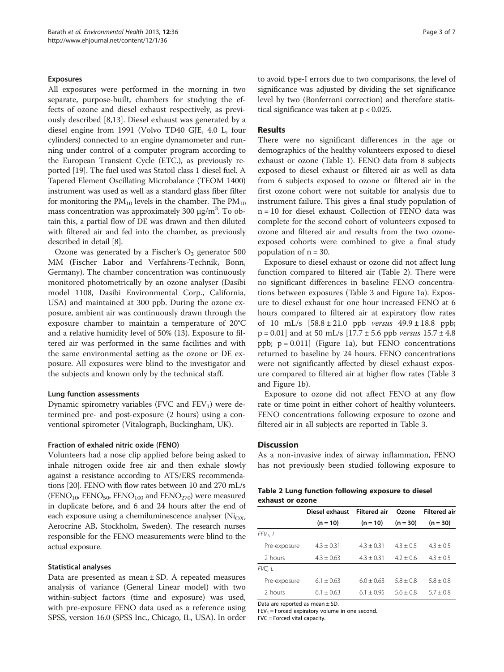# Exposures

All exposures were performed in the morning in two separate, purpose-built, chambers for studying the effects of ozone and diesel exhaust respectively, as previously described [[8,13\]](#page-5-0). Diesel exhaust was generated by a diesel engine from 1991 (Volvo TD40 GJE, 4.0 L, four cylinders) connected to an engine dynamometer and running under control of a computer program according to the European Transient Cycle (ETC.), as previously reported [[19](#page-5-0)]. The fuel used was Statoil class 1 diesel fuel. A Tapered Element Oscillating Microbalance (TEOM 1400) instrument was used as well as a standard glass fiber filter for monitoring the  $PM_{10}$  levels in the chamber. The  $PM_{10}$ mass concentration was approximately  $300 \text{ µg/m}^3$ . To obtain this, a partial flow of DE was drawn and then diluted with filtered air and fed into the chamber, as previously described in detail [\[8](#page-5-0)].

Ozone was generated by a Fischer's  $O_3$  generator 500 MM (Fischer Labor and Verfahrens-Technik, Bonn, Germany). The chamber concentration was continuously monitored photometrically by an ozone analyser (Dasibi model 1108, Dasibi Environmental Corp., California, USA) and maintained at 300 ppb. During the ozone exposure, ambient air was continuously drawn through the exposure chamber to maintain a temperature of 20°C and a relative humidity level of 50% (13). Exposure to filtered air was performed in the same facilities and with the same environmental setting as the ozone or DE exposure. All exposures were blind to the investigator and the subjects and known only by the technical staff.

### Lung function assessments

Dynamic spirometry variables (FVC and  $FEV<sub>1</sub>$ ) were determined pre- and post-exposure (2 hours) using a conventional spirometer (Vitalograph, Buckingham, UK).

#### Fraction of exhaled nitric oxide (FENO)

Volunteers had a nose clip applied before being asked to inhale nitrogen oxide free air and then exhale slowly against a resistance according to ATS/ERS recommendations [[20](#page-6-0)]. FENO with flow rates between 10 and 270 mL/s  $(FENO<sub>10</sub>, FENO<sub>50</sub>, FENO<sub>100</sub>$  and  $FENO<sub>270</sub>$ ) were measured in duplicate before, and 6 and 24 hours after the end of each exposure using a chemiluminescence analyser ( $Ni<sub>OX</sub>$ , Aerocrine AB, Stockholm, Sweden). The research nurses responsible for the FENO measurements were blind to the actual exposure.

# Statistical analyses

Data are presented as mean  $\pm$  SD. A repeated measures analysis of variance (General Linear model) with two within-subject factors (time and exposure) was used, with pre-exposure FENO data used as a reference using SPSS, version 16.0 (SPSS Inc., Chicago, IL, USA). In order to avoid type-I errors due to two comparisons, the level of significance was adjusted by dividing the set significance level by two (Bonferroni correction) and therefore statistical significance was taken at p < 0.025.

# Results

There were no significant differences in the age or demographics of the healthy volunteers exposed to diesel exhaust or ozone (Table [1](#page-1-0)). FENO data from 8 subjects exposed to diesel exhaust or filtered air as well as data from 6 subjects exposed to ozone or filtered air in the first ozone cohort were not suitable for analysis due to instrument failure. This gives a final study population of n = 10 for diesel exhaust. Collection of FENO data was complete for the second cohort of volunteers exposed to ozone and filtered air and results from the two ozoneexposed cohorts were combined to give a final study population of  $n = 30$ .

Exposure to diesel exhaust or ozone did not affect lung function compared to filtered air (Table 2). There were no significant differences in baseline FENO concentrations between exposures (Table [3](#page-3-0) and Figure [1a](#page-3-0)). Exposure to diesel exhaust for one hour increased FENO at 6 hours compared to filtered air at expiratory flow rates of 10 mL/s  $[58.8 \pm 21.0 \text{ pb}$  versus  $49.9 \pm 18.8 \text{ pb}$ ;  $p = 0.01$  and at 50 mL/s  $[17.7 \pm 5.6 \text{ pb}$  versus  $15.7 \pm 4.8 \text{ pb}$ ppb; p = 0.011] (Figure [1a](#page-3-0)), but FENO concentrations returned to baseline by 24 hours. FENO concentrations were not significantly affected by diesel exhaust exposure compared to filtered air at higher flow rates (Table [3](#page-3-0) and Figure [1](#page-3-0)b).

Exposure to ozone did not affect FENO at any flow rate or time point in either cohort of healthy volunteers. FENO concentrations following exposure to ozone and filtered air in all subjects are reported in Table [3](#page-3-0).

#### **Discussion**

As a non-invasive index of airway inflammation, FENO has not previously been studied following exposure to

| Table 2 Lung function following exposure to diesel |  |  |  |
|----------------------------------------------------|--|--|--|
| exhaust or ozone                                   |  |  |  |

|              | Diesel exhaust<br><b>Filtered air</b> |              | Ozone       | <b>Filtered air</b> |  |  |
|--------------|---------------------------------------|--------------|-------------|---------------------|--|--|
|              | $(n = 10)$                            | $(n = 10)$   | $(n = 30)$  | $(n = 30)$          |  |  |
| $FEV_1$ , L  |                                       |              |             |                     |  |  |
| Pre-exposure | $4.3 + 0.31$                          | $4.3 + 0.31$ | $43 + 05$   | $4.3 + 0.5$         |  |  |
| 2 hours      | $4.3 + 0.63$                          | $4.3 + 0.31$ | $4.2 + 0.6$ | $4.3 + 0.5$         |  |  |
| FVC, L       |                                       |              |             |                     |  |  |
| Pre-exposure | $6.1 + 0.63$                          | $6.0 + 0.63$ | $58 + 08$   | $5.8 + 0.8$         |  |  |
| 2 hours      | $6.1 + 0.63$                          | $6.1 + 0.95$ | $56 + 08$   | $57 + 08$           |  |  |

Data are reported as mean ± SD.

 $FEV<sub>1</sub> = Forced\;eyratory\;volume\;in\;one\;second.$ 

FVC = Forced vital capacity.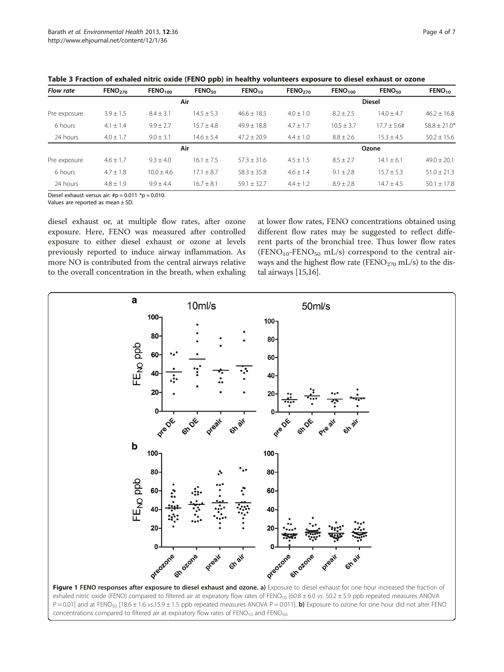| <b>Flow rate</b> | FENO <sub>270</sub> | FENO <sub>100</sub> | FENO <sub>50</sub> | $FENO_{10}$     | FENO <sub>270</sub> | FENO <sub>100</sub> | FENO <sub>50</sub> | $FENO_{10}$      |
|------------------|---------------------|---------------------|--------------------|-----------------|---------------------|---------------------|--------------------|------------------|
| Air              |                     |                     |                    |                 |                     | <b>Diesel</b>       |                    |                  |
| Pre exposure     | $3.9 \pm 1.5$       | $8.4 \pm 3.1$       | $14.5 + 5.3$       | $46.6 + 18.5$   | $4.0 + 1.0$         | $8.2 \pm 2.5$       | $14.0 + 4.7$       | $46.2 + 16.8$    |
| 6 hours          | $4.1 \pm 1.4$       | $9.9 \pm 2.7$       | $15.7 + 4.8$       | $49.9 + 18.8$   | $4.7 \pm 1.7$       | $10.5 \pm 3.7$      | $17.7 + 5.6#$      | $58.8 \pm 21.0*$ |
| 24 hours         | $4.0 \pm 1.7$       | $9.0 \pm 3.1$       | $14.6 \pm 5.4$     | $47.2 \pm 20.9$ | $4.4 \pm 1.0$       | $8.8 \pm 2.6$       | $15.3 \pm 4.5$     | $50.2 \pm 15.6$  |
|                  |                     |                     | Air                |                 |                     |                     | Ozone              |                  |
| Pre exposure     | $4.6 \pm 1.7$       | $9.3 + 4.0$         | $16.1 + 7.5$       | $57.3 \pm 31.6$ | $4.5 + 1.5$         | $8.5 \pm 2.7$       | $14.1 \pm 6.1$     | $49.0 \pm 20.1$  |
| 6 hours          | $4.7 \pm 1.8$       | $10.0 + 4.6$        | $17.1 + 8.7$       | $58.3 + 35.8$   | $4.6 \pm 1.4$       | $9.1 \pm 2.8$       | $15.7 + 5.3$       | $51.0 + 21.3$    |
| 24 hours         | $4.8 + 1.9$         | $9.9 + 4.4$         | $16.7 + 8.1$       | $59.1 + 32.7$   | $4.4 + 1.2$         | $8.9 + 2.8$         | $14.7 + 4.5$       | $50.1 \pm 17.8$  |

<span id="page-3-0"></span>Table 3 Fraction of exhaled nitric oxide (FENO ppb) in healthy volunteers exposure to diesel exhaust or ozone

Diesel exhaust versus air: # $p = 0.011$  \* $p = 0.010$ .

Values are reported as mean ± SD.

diesel exhaust or, at multiple flow rates, after ozone exposure. Here, FENO was measured after controlled exposure to either diesel exhaust or ozone at levels previously reported to induce airway inflammation. As more NO is contributed from the central airways relative to the overall concentration in the breath, when exhaling

at lower flow rates, FENO concentrations obtained using different flow rates may be suggested to reflect different parts of the bronchial tree. Thus lower flow rates  $(FENO<sub>10</sub>-FENO<sub>50</sub> mL/s)$  correspond to the central airways and the highest flow rate (FENO<sub>270</sub> mL/s) to the distal airways [\[15,16\]](#page-5-0).



P = 0.01] and at FENO<sub>50</sub> [18.6 ± 1.6 vs.15.9 ± 1.5 ppb repeated measures ANOVA P = 0.011]. **b)** Exposure to ozone for one hour did not alter FENO concentrations compared to filtered air at expiratory flow rates of  $FENO_{10}$  and  $FENO_{50}$ .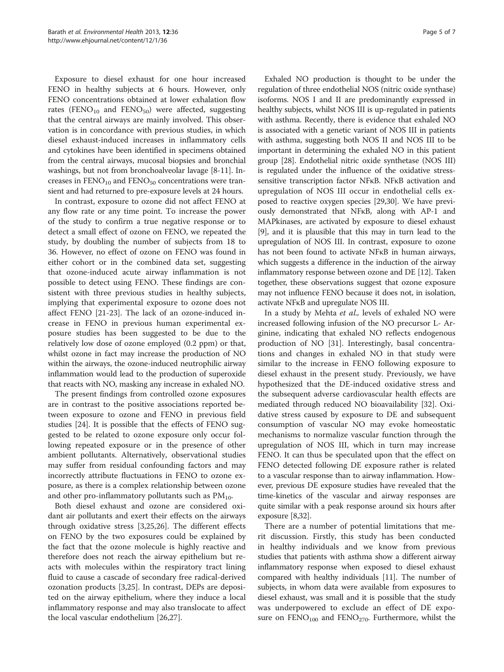Exposure to diesel exhaust for one hour increased FENO in healthy subjects at 6 hours. However, only FENO concentrations obtained at lower exhalation flow rates (FENO<sub>10</sub> and FENO<sub>50</sub>) were affected, suggesting that the central airways are mainly involved. This observation is in concordance with previous studies, in which diesel exhaust-induced increases in inflammatory cells and cytokines have been identified in specimens obtained from the central airways, mucosal biopsies and bronchial washings, but not from bronchoalveolar lavage [\[8-11](#page-5-0)]. Increases in  $FENO_{10}$  and  $FENO_{50}$  concentrations were transient and had returned to pre-exposure levels at 24 hours.

In contrast, exposure to ozone did not affect FENO at any flow rate or any time point. To increase the power of the study to confirm a true negative response or to detect a small effect of ozone on FENO, we repeated the study, by doubling the number of subjects from 18 to 36. However, no effect of ozone on FENO was found in either cohort or in the combined data set, suggesting that ozone-induced acute airway inflammation is not possible to detect using FENO. These findings are consistent with three previous studies in healthy subjects, implying that experimental exposure to ozone does not affect FENO [[21-23\]](#page-6-0). The lack of an ozone-induced increase in FENO in previous human experimental exposure studies has been suggested to be due to the relatively low dose of ozone employed (0.2 ppm) or that, whilst ozone in fact may increase the production of NO within the airways, the ozone-induced neutrophilic airway inflammation would lead to the production of superoxide that reacts with NO, masking any increase in exhaled NO.

The present findings from controlled ozone exposures are in contrast to the positive associations reported between exposure to ozone and FENO in previous field studies [[24](#page-6-0)]. It is possible that the effects of FENO suggested to be related to ozone exposure only occur following repeated exposure or in the presence of other ambient pollutants. Alternatively, observational studies may suffer from residual confounding factors and may incorrectly attribute fluctuations in FENO to ozone exposure, as there is a complex relationship between ozone and other pro-inflammatory pollutants such as  $PM_{10}$ .

Both diesel exhaust and ozone are considered oxidant air pollutants and exert their effects on the airways through oxidative stress [[3,](#page-5-0)[25,26\]](#page-6-0). The different effects on FENO by the two exposures could be explained by the fact that the ozone molecule is highly reactive and therefore does not reach the airway epithelium but reacts with molecules within the respiratory tract lining fluid to cause a cascade of secondary free radical-derived ozonation products [\[3](#page-5-0)[,25](#page-6-0)]. In contrast, DEPs are deposited on the airway epithelium, where they induce a local inflammatory response and may also translocate to affect the local vascular endothelium [\[26,27](#page-6-0)].

Exhaled NO production is thought to be under the regulation of three endothelial NOS (nitric oxide synthase) isoforms. NOS I and II are predominantly expressed in healthy subjects, whilst NOS III is up-regulated in patients with asthma. Recently, there is evidence that exhaled NO is associated with a genetic variant of NOS III in patients with asthma, suggesting both NOS II and NOS III to be important in determining the exhaled NO in this patient group [\[28\]](#page-6-0). Endothelial nitric oxide synthetase (NOS III) is regulated under the influence of the oxidative stresssensitive transcription factor NFκB. NFκB activation and upregulation of NOS III occur in endothelial cells exposed to reactive oxygen species [\[29,30](#page-6-0)]. We have previously demonstrated that NFκB, along with AP-1 and MAPkinases, are activated by exposure to diesel exhaust [[9\]](#page-5-0), and it is plausible that this may in turn lead to the upregulation of NOS III. In contrast, exposure to ozone has not been found to activate NFκB in human airways, which suggests a difference in the induction of the airway inflammatory response between ozone and DE [[12](#page-5-0)]. Taken together, these observations suggest that ozone exposure may not influence FENO because it does not, in isolation, activate NFκB and upregulate NOS III.

In a study by Mehta et al., levels of exhaled NO were increased following infusion of the NO precursor L- Arginine, indicating that exhaled NO reflects endogenous production of NO [\[31\]](#page-6-0). Interestingly, basal concentrations and changes in exhaled NO in that study were similar to the increase in FENO following exposure to diesel exhaust in the present study. Previously, we have hypothesized that the DE-induced oxidative stress and the subsequent adverse cardiovascular health effects are mediated through reduced NO bioavailability [[32\]](#page-6-0). Oxidative stress caused by exposure to DE and subsequent consumption of vascular NO may evoke homeostatic mechanisms to normalize vascular function through the upregulation of NOS III, which in turn may increase FENO. It can thus be speculated upon that the effect on FENO detected following DE exposure rather is related to a vascular response than to airway inflammation. However, previous DE exposure studies have revealed that the time-kinetics of the vascular and airway responses are quite similar with a peak response around six hours after exposure [\[8](#page-5-0)[,32\]](#page-6-0).

There are a number of potential limitations that merit discussion. Firstly, this study has been conducted in healthy individuals and we know from previous studies that patients with asthma show a different airway inflammatory response when exposed to diesel exhaust compared with healthy individuals [\[11\]](#page-5-0). The number of subjects, in whom data were available from exposures to diesel exhaust, was small and it is possible that the study was underpowered to exclude an effect of DE exposure on  $FENO_{100}$  and  $FENO_{270}$ . Furthermore, whilst the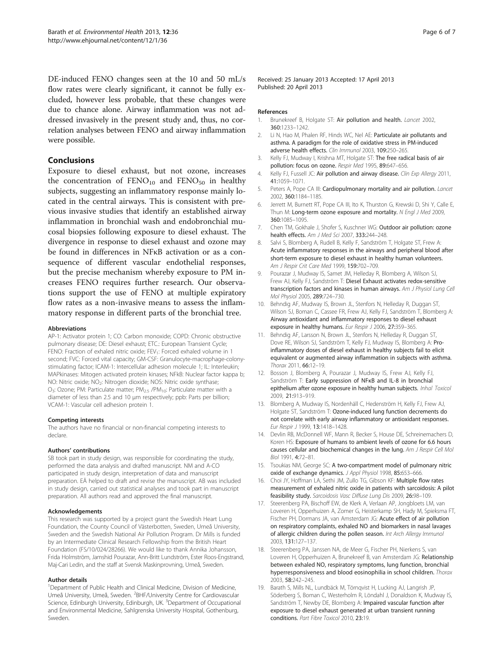<span id="page-5-0"></span>DE-induced FENO changes seen at the 10 and 50 mL/s flow rates were clearly significant, it cannot be fully excluded, however less probable, that these changes were due to chance alone. Airway inflammation was not addressed invasively in the present study and, thus, no correlation analyses between FENO and airway inflammation were possible.

# Conclusions

Exposure to diesel exhaust, but not ozone, increases the concentration of  $FENO_{10}$  and  $FENO_{50}$  in healthy subjects, suggesting an inflammatory response mainly located in the central airways. This is consistent with previous invasive studies that identify an established airway inflammation in bronchial wash and endobronchial mucosal biopsies following exposure to diesel exhaust. The divergence in response to diesel exhaust and ozone may be found in differences in NFκB activation or as a consequence of different vascular endothelial responses, but the precise mechanism whereby exposure to PM increases FENO requires further research. Our observations support the use of FENO at multiple expiratory flow rates as a non-invasive means to assess the inflammatory response in different parts of the bronchial tree.

#### Abbreviations

AP-1: Activator protein 1; CO: Carbon monoxide; COPD: Chronic obstructive pulmonary disease; DE: Diesel exhaust; ETC.: European Transient Cycle; FENO: Fraction of exhaled nitric oxide; FEV<sub>1</sub>: Forced exhaled volume in 1 second; FVC: Forced vital capacity; GM-CSF: Granulocyte-macrophage-colonystimulating factor; ICAM-1: Intercellular adhesion molecule 1; IL: Interleukin; MAPkinases: Mitogen activated protein kinases; NFkB: Nuclear factor kappa b; NO: Nitric oxide; NO<sub>2</sub>: Nitrogen dioxide; NOS: Nitric oxide synthase;  $O_3$ : Ozone; PM: Particulate matter; PM<sub>2.5</sub> /PM<sub>10</sub>: Particulate matter with a diameter of less than 2.5 and 10 μm respectively; ppb: Parts per billion; VCAM-1: Vascular cell adhesion protein 1.

#### Competing interests

The authors have no financial or non-financial competing interests to declare.

#### Authors' contributions

SB took part in study design, was responsible for coordinating the study, performed the data analysis and drafted manuscript. NM and A-CO participated in study design, interpretation of data and manuscript preparation. EÄ helped to draft and revise the manuscript. AB was included in study design, carried out statistical analyses and took part in manuscript preparation. All authors read and approved the final manuscript.

#### Acknowledgements

This research was supported by a project grant the Swedish Heart Lung Foundation, the County Council of Västerbotten, Sweden, Umeå University, Sweden and the Swedish National Air Pollution Program. Dr Mills is funded by an Intermediate Clinical Research Fellowship from the British Heart Foundation (FS/10/024/28266). We would like to thank Annika Johansson, Frida Holmström, Jamshid Pourazar, Ann-Britt Lundström, Ester Roos-Engstrand, Maj-Cari Ledin, and the staff at Svensk Maskinprovning, Umeå, Sweden.

# Author details

<sup>1</sup>Department of Public Health and Clinical Medicine, Division of Medicine, Umeå University, Umeå, Sweden. <sup>2</sup>BHF/University Centre for Cardiovascular Science, Edinburgh University, Edinburgh, UK. <sup>3</sup>Department of Occupational and Environmental Medicine, Sahlgrenska University Hospital, Gothenburg, Sweden.

Received: 25 January 2013 Accepted: 17 April 2013 Published: 20 April 2013

- References<br>1. Brunek Brunekreef B, Holgate ST: Air pollution and health. Lancet 2002, 360:1233–1242.
- 2. Li N, Hao M, Phalen RF, Hinds WC, Nel AE: Particulate air pollutants and asthma. A paradigm for the role of oxidative stress in PM-induced adverse health effects. Clin Immunol 2003, 109:250–265.
- 3. Kelly FJ, Mudway I, Krishna MT, Holgate ST: The free radical basis of air pollution: focus on ozone. Respir Med 1995, 89:647–656.
- 4. Kelly FJ, Fussell JC: Air pollution and airway disease. Clin Exp Allergy 2011, 41:1059–1071.
- 5. Peters A, Pope CA III: Cardiopulmonary mortality and air pollution. Lancet 2002, 360:1184–1185.
- 6. Jerrett M, Burnett RT, Pope CA III, Ito K, Thurston G, Krewski D, Shi Y, Calle E, Thun M: Long-term ozone exposure and mortality. N Engl J Med 2009, 360:1085–1095.
- 7. Chen TM, Gokhale J, Shofer S, Kuschner WG: Outdoor air pollution: ozone health effects. Am J Med Sci 2007, 333:244–248.
- 8. Salvi S, Blomberg A, Rudell B, Kelly F, Sandström T, Holgate ST, Frew A: Acute inflammatory responses in the airways and peripheral blood after short-term exposure to diesel exhaust in healthy human volunteers. Am J Respir Crit Care Med 1999, 159:702–709.
- 9. Pourazar J, Mudway IS, Samet JM, Helleday R, Blomberg A, Wilson SJ, Frew AJ, Kelly FJ, Sandström T: Diesel Exhaust activates redox-sensitive transcription factors and kinases in human airways. Am J Physiol Lung Cell Mol Physiol 2005, 289:724–730.
- 10. Behndig AF, Mudway IS, Brown JL, Stenfors N, Helleday R, Duggan ST, Wilson SJ, Boman C, Cassee FR, Frew AJ, Kelly FJ, Sandström T, Blomberg A: Airway antioxidant and inflammatory responses to diesel exhaust exposure in healthy humans. Eur Respir J 2006, 27:359–365.
- 11. Behndig AF, Larsson N, Brown JL, Stenfors N, Helleday R, Duggan ST, Dove RE, Wilson SJ, Sandström T, Kelly FJ, Mudway IS, Blomberg A: Proinflammatory doses of diesel exhaust in healthy subjects fail to elicit equivalent or augmented airway inflammation in subjects with asthma. Thorax 2011, 66:12–19.
- 12. Bosson J, Blomberg A, Pourazar J, Mudway IS, Frew AJ, Kelly FJ, Sandström T: Early suppression of NFKB and IL-8 in bronchial epithelium after ozone exposure in healthy human subjects. Inhal Toxicol 2009, 21:913–919.
- 13. Blomberg A, Mudway IS, Nordenhäll C, Hedenström H, Kelly FJ, Frew AJ, Holgate ST, Sandström T: Ozone-induced lung function decrements do not correlate with early airway inflammatory or antioxidant responses. Eur Respir J 1999, 13:1418–1428.
- 14. Devlin RB, McDonnell WF, Mann R, Becker S, House DE, Schreinemachers D, Koren HS: Exposure of humans to ambient levels of ozone for 6.6 hours causes cellular and biochemical changes in the lung. Am J Respir Cell Mol Biol 1991, 4:72–81.
- 15. Tsoukias NM, George SC: A two-compartment model of pulmonary nitric oxide of exchange dynamics. J Appl Physiol 1998, 85:653-666.
- 16. Choi JY, Hoffman LA, Sethi JM, Zullo TG, Gibson KF: Multiple flow rates measurement of exhaled nitric oxide in patients with sarcoidosis: A pilot feasibility study. Sarcoidosis Vasc Diffuse Lung Dis 2009, 26:98-109.
- 17. Steerenberg PA, Bischoff EW, de Klerk A, Verlaan AP, Jongbloets LM, van Loveren H, Opperhuizen A, Zomer G, Heisterkamp SH, Hady M, Spieksma FT, Fischer PH, Dormans JA, van Amsterdam JG: Acute effect of air pollution on respiratory complaints, exhaled NO and biomarkers in nasal lavages of allergic children during the pollen season. Int Arch Allergy Immunol 2003, 131:127–137.
- 18. Steerenberg PA, Janssen NA, de Meer G, Fischer PH, Nierkens S, van Loveren H, Opperhuizen A, Brunekreef B, van Amsterdam JG: Relationship between exhaled NO, respiratory symptoms, lung function, bronchial hyperresponsiveness and blood eosinophilia in school children. Thorax 2003, 58:242–245.
- 19. Barath S, Mills NL, Lundbäck M, Törnqvist H, Lucking AJ, Langrish JP, Söderberg S, Boman C, Westerholm R, Löndahl J, Donaldson K, Mudway IS, Sandström T, Newby DE, Blomberg A: Impaired vascular function after exposure to diesel exhaust generated at urban transient running conditions. Part Fibre Toxicol 2010, 23:19.